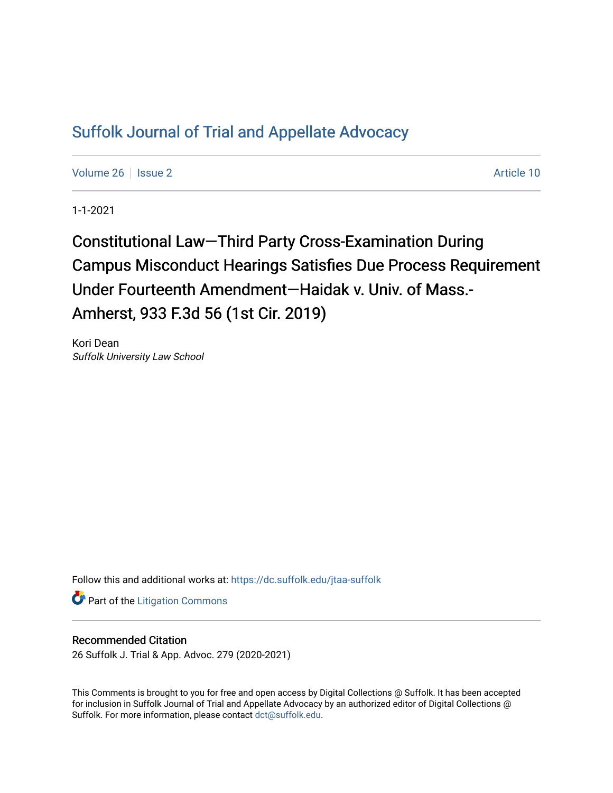## [Suffolk Journal of Trial and Appellate Advocacy](https://dc.suffolk.edu/jtaa-suffolk)

[Volume 26](https://dc.suffolk.edu/jtaa-suffolk/vol26) | [Issue 2](https://dc.suffolk.edu/jtaa-suffolk/vol26/iss2) Article 10

1-1-2021

Constitutional Law—Third Party Cross-Examination During Campus Misconduct Hearings Satisfies Due Process Requirement Under Fourteenth Amendment—Haidak v. Univ. of Mass.- Amherst, 933 F.3d 56 (1st Cir. 2019)

Kori Dean Suffolk University Law School

Follow this and additional works at: [https://dc.suffolk.edu/jtaa-suffolk](https://dc.suffolk.edu/jtaa-suffolk?utm_source=dc.suffolk.edu%2Fjtaa-suffolk%2Fvol26%2Fiss2%2F10&utm_medium=PDF&utm_campaign=PDFCoverPages) 

**Part of the [Litigation Commons](https://network.bepress.com/hgg/discipline/910?utm_source=dc.suffolk.edu%2Fjtaa-suffolk%2Fvol26%2Fiss2%2F10&utm_medium=PDF&utm_campaign=PDFCoverPages)** 

## Recommended Citation

26 Suffolk J. Trial & App. Advoc. 279 (2020-2021)

This Comments is brought to you for free and open access by Digital Collections @ Suffolk. It has been accepted for inclusion in Suffolk Journal of Trial and Appellate Advocacy by an authorized editor of Digital Collections @ Suffolk. For more information, please contact [dct@suffolk.edu.](mailto:dct@suffolk.edu)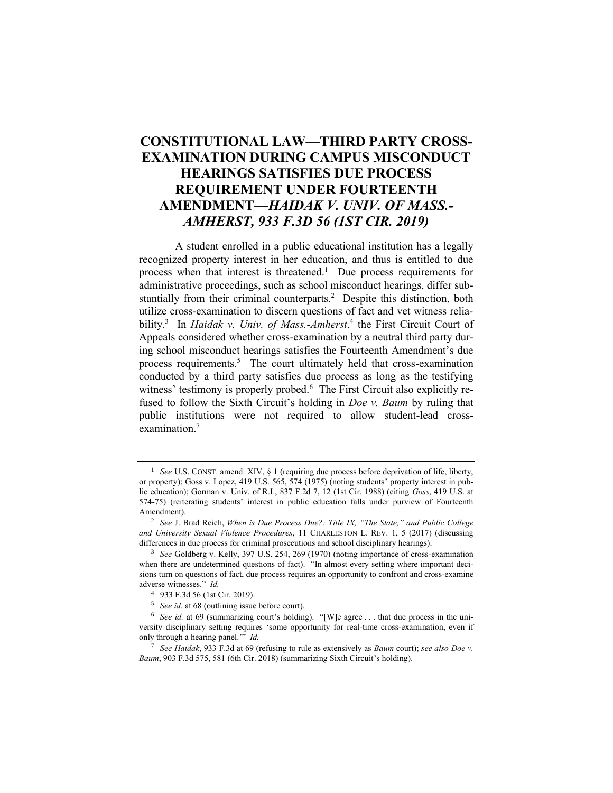## **CONSTITUTIONAL LAW—THIRD PARTY CROSS-EXAMINATION DURING CAMPUS MISCONDUCT HEARINGS SATISFIES DUE PROCESS REQUIREMENT UNDER FOURTEENTH AMENDMENT—***HAIDAK V. UNIV. OF MASS.- AMHERST, 933 F.3D 56 (1ST CIR. 2019)*

A student enrolled in a public educational institution has a legally recognized property interest in her education, and thus is entitled to due process when that interest is threatened.<sup>1</sup> Due process requirements for administrative proceedings, such as school misconduct hearings, differ substantially from their criminal counterparts.<sup>2</sup> Despite this distinction, both utilize cross-examination to discern questions of fact and vet witness reliability.<sup>3</sup> In *Haidak v. Univ. of Mass.-Amherst*,<sup>4</sup> the First Circuit Court of Appeals considered whether cross-examination by a neutral third party during school misconduct hearings satisfies the Fourteenth Amendment's due process requirements.<sup>5</sup> The court ultimately held that cross-examination conducted by a third party satisfies due process as long as the testifying witness' testimony is properly probed.<sup>6</sup> The First Circuit also explicitly refused to follow the Sixth Circuit's holding in *Doe v. Baum* by ruling that public institutions were not required to allow student-lead crossexamination.<sup>7</sup>

<sup>&</sup>lt;sup>1</sup> *See* U.S. CONST. amend. XIV, § 1 (requiring due process before deprivation of life, liberty, or property); Goss v. Lopez, 419 U.S. 565, 574 (1975) (noting students' property interest in public education); Gorman v. Univ. of R.I., 837 F.2d 7, 12 (1st Cir. 1988) (citing *Goss*, 419 U.S. at 574-75) (reiterating students' interest in public education falls under purview of Fourteenth Amendment).

<sup>2</sup> *See* J. Brad Reich, *When is Due Process Due?: Title IX, "The State," and Public College and University Sexual Violence Procedures*, 11 CHARLESTON L. REV. 1, 5 (2017) (discussing differences in due process for criminal prosecutions and school disciplinary hearings).

<sup>3</sup> *See* Goldberg v. Kelly, 397 U.S. 254, 269 (1970) (noting importance of cross-examination when there are undetermined questions of fact). "In almost every setting where important decisions turn on questions of fact, due process requires an opportunity to confront and cross-examine adverse witnesses." *Id.* 

<sup>4</sup> 933 F.3d 56 (1st Cir. 2019).

<sup>5</sup> *See id.* at 68 (outlining issue before court).

<sup>&</sup>lt;sup>6</sup> *See id.* at 69 (summarizing court's holding). "[W]e agree ... that due process in the university disciplinary setting requires 'some opportunity for real-time cross-examination, even if only through a hearing panel.'" *Id.*

<sup>7</sup> *See Haidak*, 933 F.3d at 69 (refusing to rule as extensively as *Baum* court); *see also Doe v. Baum*, 903 F.3d 575, 581 (6th Cir. 2018) (summarizing Sixth Circuit's holding).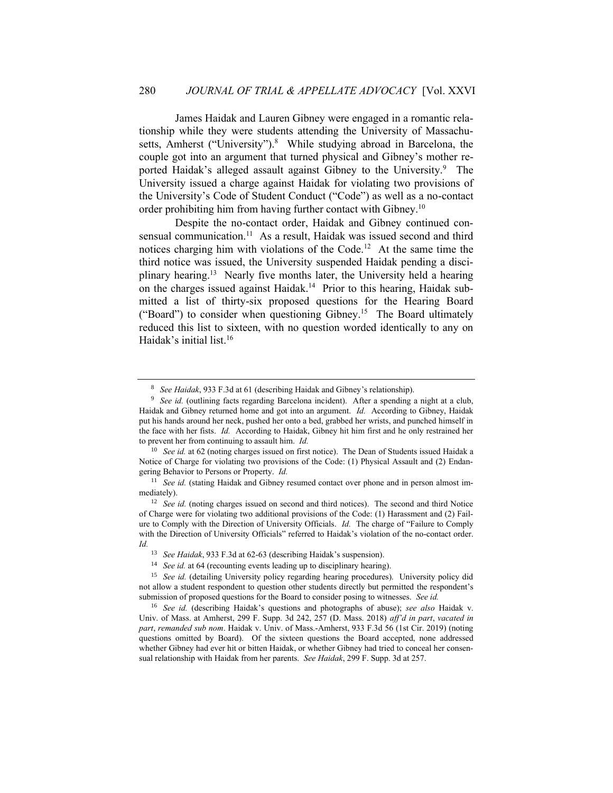James Haidak and Lauren Gibney were engaged in a romantic relationship while they were students attending the University of Massachusetts, Amherst ("University").<sup>8</sup> While studying abroad in Barcelona, the couple got into an argument that turned physical and Gibney's mother reported Haidak's alleged assault against Gibney to the University.<sup>9</sup> The University issued a charge against Haidak for violating two provisions of the University's Code of Student Conduct ("Code") as well as a no-contact order prohibiting him from having further contact with Gibney.<sup>10</sup>

Despite the no-contact order, Haidak and Gibney continued consensual communication.<sup>11</sup> As a result, Haidak was issued second and third notices charging him with violations of the Code.<sup>12</sup> At the same time the third notice was issued, the University suspended Haidak pending a disciplinary hearing.<sup>13</sup> Nearly five months later, the University held a hearing on the charges issued against Haidak.<sup>14</sup> Prior to this hearing, Haidak submitted a list of thirty-six proposed questions for the Hearing Board ("Board") to consider when questioning Gibney.<sup>15</sup> The Board ultimately reduced this list to sixteen, with no question worded identically to any on Haidak's initial list.<sup>16</sup>

<sup>8</sup> *See Haidak*, 933 F.3d at 61 (describing Haidak and Gibney's relationship).

<sup>&</sup>lt;sup>9</sup> *See id.* (outlining facts regarding Barcelona incident). After a spending a night at a club, Haidak and Gibney returned home and got into an argument. *Id.* According to Gibney, Haidak put his hands around her neck, pushed her onto a bed, grabbed her wrists, and punched himself in the face with her fists. *Id.* According to Haidak, Gibney hit him first and he only restrained her to prevent her from continuing to assault him. *Id.*

<sup>&</sup>lt;sup>10</sup> *See id.* at 62 (noting charges issued on first notice). The Dean of Students issued Haidak a Notice of Charge for violating two provisions of the Code: (1) Physical Assault and (2) Endangering Behavior to Persons or Property. *Id.* 

<sup>&</sup>lt;sup>11</sup> *See id.* (stating Haidak and Gibney resumed contact over phone and in person almost immediately).

<sup>&</sup>lt;sup>12</sup> *See id.* (noting charges issued on second and third notices). The second and third Notice of Charge were for violating two additional provisions of the Code: (1) Harassment and (2) Failure to Comply with the Direction of University Officials. *Id.* The charge of "Failure to Comply with the Direction of University Officials" referred to Haidak's violation of the no-contact order. *Id.*

<sup>13</sup> *See Haidak*, 933 F.3d at 62-63 (describing Haidak's suspension).

<sup>&</sup>lt;sup>14</sup> *See id.* at 64 (recounting events leading up to disciplinary hearing).

<sup>&</sup>lt;sup>15</sup> *See id.* (detailing University policy regarding hearing procedures). University policy did not allow a student respondent to question other students directly but permitted the respondent's submission of proposed questions for the Board to consider posing to witnesses. *See id.*

<sup>16</sup> *See id.* (describing Haidak's questions and photographs of abuse); *see also* Haidak v. Univ. of Mass. at Amherst, 299 F. Supp. 3d 242, 257 (D. Mass. 2018) *aff'd in part*, *vacated in part*, *remanded sub nom*. Haidak v. Univ. of Mass.-Amherst, 933 F.3d 56 (1st Cir. 2019) (noting questions omitted by Board). Of the sixteen questions the Board accepted, none addressed whether Gibney had ever hit or bitten Haidak, or whether Gibney had tried to conceal her consensual relationship with Haidak from her parents. *See Haidak*, 299 F. Supp. 3d at 257.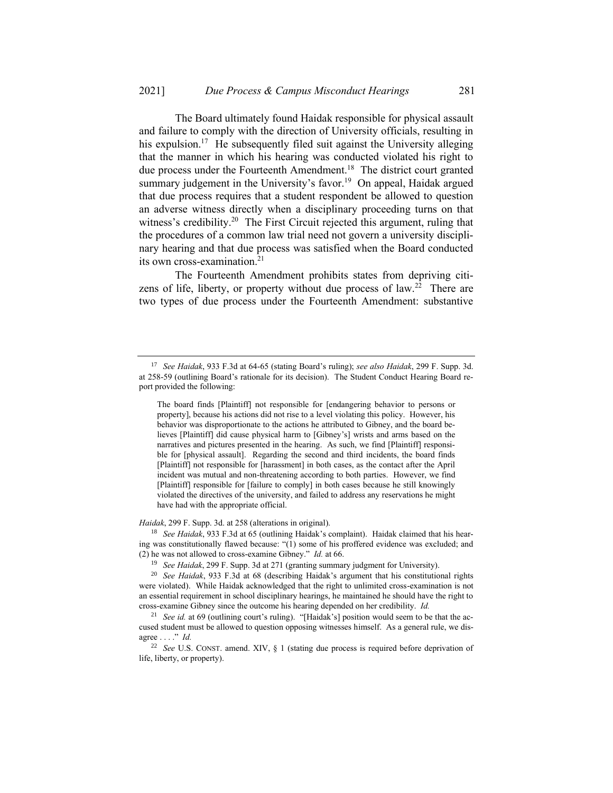The Board ultimately found Haidak responsible for physical assault and failure to comply with the direction of University officials, resulting in his expulsion.<sup>17</sup> He subsequently filed suit against the University alleging that the manner in which his hearing was conducted violated his right to due process under the Fourteenth Amendment.<sup>18</sup> The district court granted summary judgement in the University's favor.<sup>19</sup> On appeal, Haidak argued that due process requires that a student respondent be allowed to question an adverse witness directly when a disciplinary proceeding turns on that witness's credibility.<sup>20</sup> The First Circuit rejected this argument, ruling that the procedures of a common law trial need not govern a university disciplinary hearing and that due process was satisfied when the Board conducted its own cross-examination.<sup>21</sup>

The Fourteenth Amendment prohibits states from depriving citizens of life, liberty, or property without due process of law.<sup>22</sup> There are two types of due process under the Fourteenth Amendment: substantive

*Haidak*, 299 F. Supp. 3d. at 258 (alterations in original).

<sup>18</sup> *See Haidak*, 933 F.3d at 65 (outlining Haidak's complaint). Haidak claimed that his hearing was constitutionally flawed because: "(1) some of his proffered evidence was excluded; and (2) he was not allowed to cross-examine Gibney." *Id.* at 66.

<sup>17</sup> *See Haidak*, 933 F.3d at 64-65 (stating Board's ruling); *see also Haidak*, 299 F. Supp. 3d. at 258-59 (outlining Board's rationale for its decision). The Student Conduct Hearing Board report provided the following:

The board finds [Plaintiff] not responsible for [endangering behavior to persons or property], because his actions did not rise to a level violating this policy. However, his behavior was disproportionate to the actions he attributed to Gibney, and the board believes [Plaintiff] did cause physical harm to [Gibney's] wrists and arms based on the narratives and pictures presented in the hearing. As such, we find [Plaintiff] responsible for [physical assault]. Regarding the second and third incidents, the board finds [Plaintiff] not responsible for [harassment] in both cases, as the contact after the April incident was mutual and non-threatening according to both parties. However, we find [Plaintiff] responsible for [failure to comply] in both cases because he still knowingly violated the directives of the university, and failed to address any reservations he might have had with the appropriate official.

<sup>19</sup> *See Haidak*, 299 F. Supp. 3d at 271 (granting summary judgment for University).

<sup>20</sup> *See Haidak*, 933 F.3d at 68 (describing Haidak's argument that his constitutional rights were violated). While Haidak acknowledged that the right to unlimited cross-examination is not an essential requirement in school disciplinary hearings, he maintained he should have the right to cross-examine Gibney since the outcome his hearing depended on her credibility. *Id.*

<sup>&</sup>lt;sup>21</sup> *See id.* at 69 (outlining court's ruling). "[Haidak's] position would seem to be that the accused student must be allowed to question opposing witnesses himself. As a general rule, we disagree . . . ." *Id.* 

<sup>22</sup> *See* U.S. CONST. amend. XIV, § 1 (stating due process is required before deprivation of life, liberty, or property).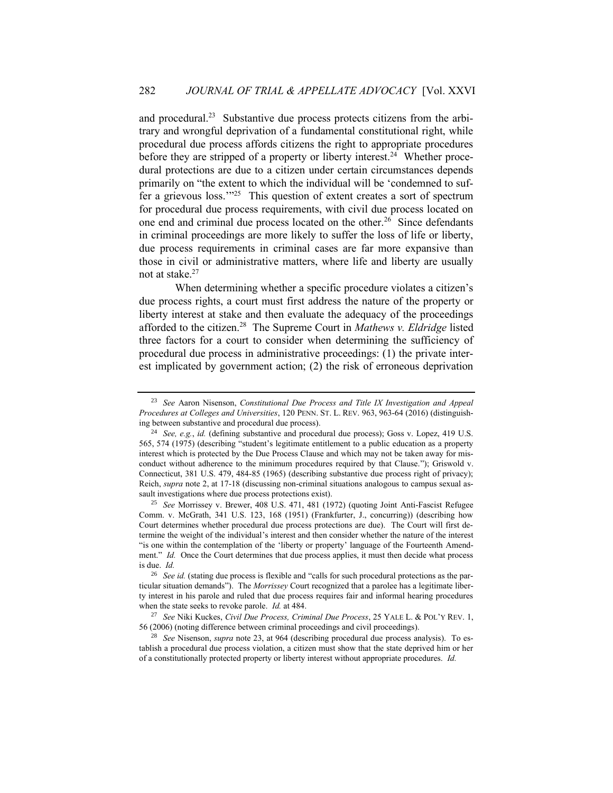and procedural.<sup>23</sup> Substantive due process protects citizens from the arbitrary and wrongful deprivation of a fundamental constitutional right, while procedural due process affords citizens the right to appropriate procedures before they are stripped of a property or liberty interest.<sup>24</sup> Whether procedural protections are due to a citizen under certain circumstances depends primarily on "the extent to which the individual will be 'condemned to suffer a grievous loss."<sup>25</sup> This question of extent creates a sort of spectrum for procedural due process requirements, with civil due process located on one end and criminal due process located on the other.<sup>26</sup> Since defendants in criminal proceedings are more likely to suffer the loss of life or liberty, due process requirements in criminal cases are far more expansive than those in civil or administrative matters, where life and liberty are usually not at stake. $27$ 

When determining whether a specific procedure violates a citizen's due process rights, a court must first address the nature of the property or liberty interest at stake and then evaluate the adequacy of the proceedings afforded to the citizen.<sup>28</sup> The Supreme Court in *Mathews v. Eldridge* listed three factors for a court to consider when determining the sufficiency of procedural due process in administrative proceedings: (1) the private interest implicated by government action; (2) the risk of erroneous deprivation

<sup>25</sup> *See* Morrissey v. Brewer, 408 U.S. 471, 481 (1972) (quoting Joint Anti-Fascist Refugee Comm. v. McGrath, 341 U.S. 123, 168 (1951) (Frankfurter, J., concurring)) (describing how Court determines whether procedural due process protections are due). The Court will first determine the weight of the individual's interest and then consider whether the nature of the interest "is one within the contemplation of the 'liberty or property' language of the Fourteenth Amendment." *Id.* Once the Court determines that due process applies, it must then decide what process is due. *Id.*

<sup>28</sup> *See* Nisenson, *supra* note 23, at 964 (describing procedural due process analysis). To establish a procedural due process violation, a citizen must show that the state deprived him or her of a constitutionally protected property or liberty interest without appropriate procedures. *Id.* 

<sup>23</sup> *See* Aaron Nisenson, *Constitutional Due Process and Title IX Investigation and Appeal Procedures at Colleges and Universities*, 120 PENN. ST. L. REV. 963, 963-64 (2016) (distinguishing between substantive and procedural due process).

<sup>24</sup> *See, e.g.*, *id.* (defining substantive and procedural due process); Goss v. Lopez, 419 U.S. 565, 574 (1975) (describing "student's legitimate entitlement to a public education as a property interest which is protected by the Due Process Clause and which may not be taken away for misconduct without adherence to the minimum procedures required by that Clause."); Griswold v. Connecticut, 381 U.S. 479, 484-85 (1965) (describing substantive due process right of privacy); Reich, *supra* note 2, at 17-18 (discussing non-criminal situations analogous to campus sexual assault investigations where due process protections exist).

<sup>&</sup>lt;sup>26</sup> *See id.* (stating due process is flexible and "calls for such procedural protections as the particular situation demands"). The *Morrissey* Court recognized that a parolee has a legitimate liberty interest in his parole and ruled that due process requires fair and informal hearing procedures when the state seeks to revoke parole. *Id.* at 484.

<sup>27</sup> *See* Niki Kuckes, *Civil Due Process, Criminal Due Process*, 25 YALE L. & POL'Y REV. 1, 56 (2006) (noting difference between criminal proceedings and civil proceedings).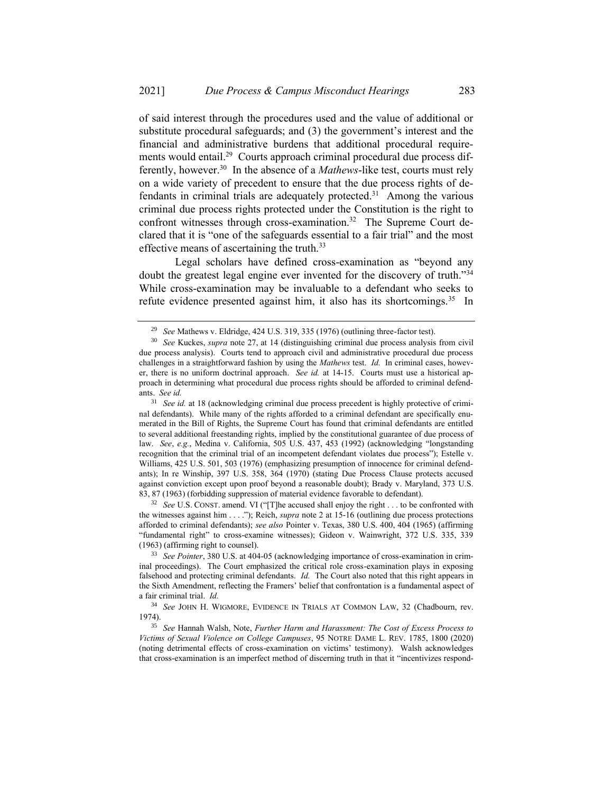of said interest through the procedures used and the value of additional or substitute procedural safeguards; and (3) the government's interest and the financial and administrative burdens that additional procedural requirements would entail.<sup>29</sup> Courts approach criminal procedural due process differently, however.<sup>30</sup> In the absence of a *Mathews*-like test, courts must rely on a wide variety of precedent to ensure that the due process rights of defendants in criminal trials are adequately protected.<sup>31</sup> Among the various criminal due process rights protected under the Constitution is the right to confront witnesses through cross-examination.<sup>32</sup> The Supreme Court declared that it is "one of the safeguards essential to a fair trial" and the most effective means of ascertaining the truth.<sup>33</sup>

Legal scholars have defined cross-examination as "beyond any doubt the greatest legal engine ever invented for the discovery of truth."<sup>34</sup> While cross-examination may be invaluable to a defendant who seeks to refute evidence presented against him, it also has its shortcomings.<sup>35</sup> In

<sup>32</sup> *See* U.S. CONST. amend. VI ("[T]he accused shall enjoy the right . . . to be confronted with the witnesses against him . . . ."); Reich, *supra* note 2 at 15-16 (outlining due process protections afforded to criminal defendants); *see also* Pointer v. Texas, 380 U.S. 400, 404 (1965) (affirming "fundamental right" to cross-examine witnesses); Gideon v. Wainwright, 372 U.S. 335, 339 (1963) (affirming right to counsel).

<sup>33</sup> *See Pointer*, 380 U.S. at 404-05 (acknowledging importance of cross-examination in criminal proceedings). The Court emphasized the critical role cross-examination plays in exposing falsehood and protecting criminal defendants. *Id.* The Court also noted that this right appears in the Sixth Amendment, reflecting the Framers' belief that confrontation is a fundamental aspect of a fair criminal trial. *Id.*

<sup>34</sup> *See* JOHN H. WIGMORE, EVIDENCE IN TRIALS AT COMMON LAW, 32 (Chadbourn, rev. 1974).

<sup>35</sup> *See* Hannah Walsh, Note, *Further Harm and Harassment: The Cost of Excess Process to Victims of Sexual Violence on College Campuses*, 95 NOTRE DAME L. REV. 1785, 1800 (2020) (noting detrimental effects of cross-examination on victims' testimony). Walsh acknowledges that cross-examination is an imperfect method of discerning truth in that it "incentivizes respond-

<sup>29</sup> *See* Mathews v. Eldridge, 424 U.S. 319, 335 (1976) (outlining three-factor test).

<sup>30</sup> *See* Kuckes, *supra* note 27, at 14 (distinguishing criminal due process analysis from civil due process analysis). Courts tend to approach civil and administrative procedural due process challenges in a straightforward fashion by using the *Mathews* test. *Id.* In criminal cases, however, there is no uniform doctrinal approach. *See id.* at 14-15. Courts must use a historical approach in determining what procedural due process rights should be afforded to criminal defendants. *See id.* 

<sup>&</sup>lt;sup>31</sup> *See id.* at 18 (acknowledging criminal due process precedent is highly protective of criminal defendants). While many of the rights afforded to a criminal defendant are specifically enumerated in the Bill of Rights, the Supreme Court has found that criminal defendants are entitled to several additional freestanding rights, implied by the constitutional guarantee of due process of law. *See*, *e.g.*, Medina v. California, 505 U.S. 437, 453 (1992) (acknowledging "longstanding recognition that the criminal trial of an incompetent defendant violates due process"); Estelle v. Williams, 425 U.S. 501, 503 (1976) (emphasizing presumption of innocence for criminal defendants); In re Winship, 397 U.S. 358, 364 (1970) (stating Due Process Clause protects accused against conviction except upon proof beyond a reasonable doubt); Brady v. Maryland, 373 U.S. 83, 87 (1963) (forbidding suppression of material evidence favorable to defendant).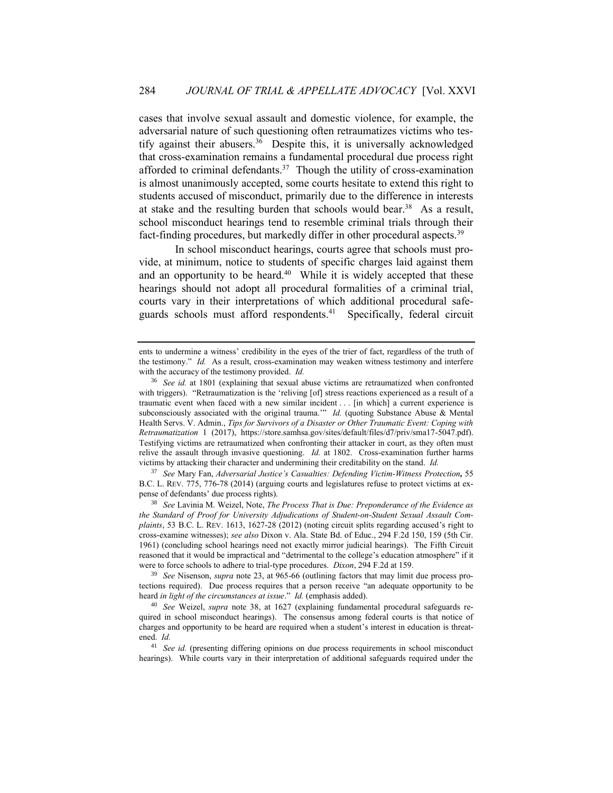cases that involve sexual assault and domestic violence, for example, the adversarial nature of such questioning often retraumatizes victims who testify against their abusers.<sup>36</sup> Despite this, it is universally acknowledged that cross-examination remains a fundamental procedural due process right afforded to criminal defendants.<sup>37</sup> Though the utility of cross-examination is almost unanimously accepted, some courts hesitate to extend this right to students accused of misconduct, primarily due to the difference in interests at stake and the resulting burden that schools would bear.<sup>38</sup> As a result, school misconduct hearings tend to resemble criminal trials through their fact-finding procedures, but markedly differ in other procedural aspects.<sup>39</sup>

In school misconduct hearings, courts agree that schools must provide, at minimum, notice to students of specific charges laid against them and an opportunity to be heard. $40$  While it is widely accepted that these hearings should not adopt all procedural formalities of a criminal trial, courts vary in their interpretations of which additional procedural safeguards schools must afford respondents.<sup>41</sup> Specifically, federal circuit

<sup>37</sup> *See* Mary Fan, *Adversarial Justice's Casualties: Defending Victim-Witness Protection,* 55 B.C. L. REV. 775, 776-78 (2014) (arguing courts and legislatures refuse to protect victims at expense of defendants' due process rights).

<sup>38</sup> *See* Lavinia M. Weizel, Note, *The Process That is Due: Preponderance of the Evidence as the Standard of Proof for University Adjudications of Student-on-Student Sexual Assault Complaints*, 53 B.C. L. REV. 1613, 1627-28 (2012) (noting circuit splits regarding accused's right to cross-examine witnesses); *see also* Dixon v. Ala. State Bd. of Educ., 294 F.2d 150, 159 (5th Cir. 1961) (concluding school hearings need not exactly mirror judicial hearings). The Fifth Circuit reasoned that it would be impractical and "detrimental to the college's education atmosphere" if it were to force schools to adhere to trial-type procedures. *Dixon*, 294 F.2d at 159.

<sup>39</sup> *See* Nisenson, *supra* note 23, at 965-66 (outlining factors that may limit due process protections required). Due process requires that a person receive "an adequate opportunity to be heard *in light of the circumstances at issue.*" *Id.* (emphasis added).

ents to undermine a witness' credibility in the eyes of the trier of fact, regardless of the truth of the testimony." *Id.* As a result, cross-examination may weaken witness testimony and interfere with the accuracy of the testimony provided. *Id.*

<sup>36</sup> *See id.* at 1801 (explaining that sexual abuse victims are retraumatized when confronted with triggers). "Retraumatization is the 'reliving [of] stress reactions experienced as a result of a traumatic event when faced with a new similar incident . . . [in which] a current experience is subconsciously associated with the original trauma.'" *Id.* (quoting Substance Abuse & Mental Health Servs. V. Admin., *Tips for Survivors of a Disaster or Other Traumatic Event: Coping with Retraumatization* 1 (2017), https://store.samhsa.gov/sites/default/files/d7/priv/sma17-5047.pdf). Testifying victims are retraumatized when confronting their attacker in court, as they often must relive the assault through invasive questioning. *Id.* at 1802. Cross-examination further harms victims by attacking their character and undermining their creditability on the stand. *Id.*

<sup>40</sup> *See* Weizel, *supra* note 38, at 1627 (explaining fundamental procedural safeguards required in school misconduct hearings). The consensus among federal courts is that notice of charges and opportunity to be heard are required when a student's interest in education is threatened. *Id.* 

<sup>41</sup> *See id.* (presenting differing opinions on due process requirements in school misconduct hearings). While courts vary in their interpretation of additional safeguards required under the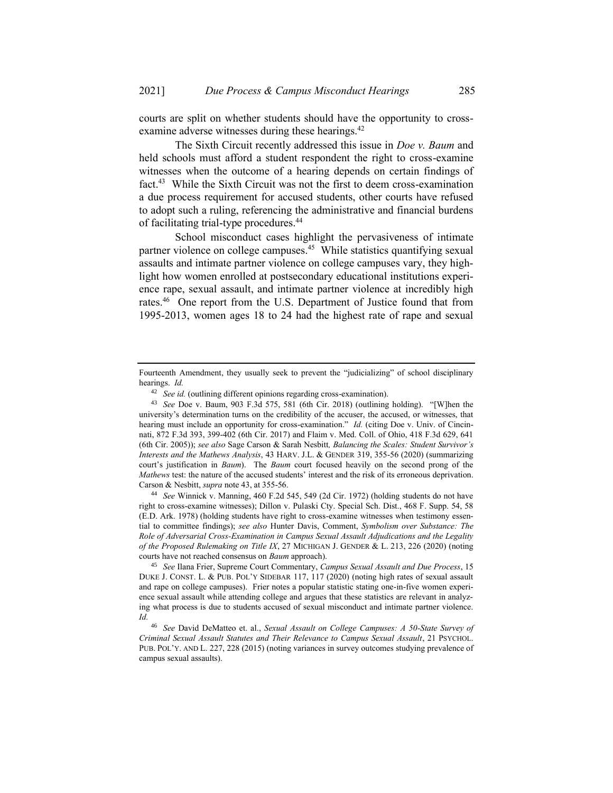courts are split on whether students should have the opportunity to crossexamine adverse witnesses during these hearings.<sup>42</sup>

The Sixth Circuit recently addressed this issue in *Doe v. Baum* and held schools must afford a student respondent the right to cross-examine witnesses when the outcome of a hearing depends on certain findings of fact.<sup>43</sup> While the Sixth Circuit was not the first to deem cross-examination a due process requirement for accused students, other courts have refused to adopt such a ruling, referencing the administrative and financial burdens of facilitating trial-type procedures.<sup>44</sup>

School misconduct cases highlight the pervasiveness of intimate partner violence on college campuses.<sup>45</sup> While statistics quantifying sexual assaults and intimate partner violence on college campuses vary, they highlight how women enrolled at postsecondary educational institutions experience rape, sexual assault, and intimate partner violence at incredibly high rates.<sup>46</sup> One report from the U.S. Department of Justice found that from 1995-2013, women ages 18 to 24 had the highest rate of rape and sexual

Fourteenth Amendment, they usually seek to prevent the "judicializing" of school disciplinary hearings. *Id.*

<sup>&</sup>lt;sup>42</sup> *See id.* (outlining different opinions regarding cross-examination).

<sup>43</sup> *See* Doe v. Baum, 903 F.3d 575, 581 (6th Cir. 2018) (outlining holding). "[W]hen the university's determination turns on the credibility of the accuser, the accused, or witnesses, that hearing must include an opportunity for cross-examination." *Id.* (citing Doe v. Univ. of Cincinnati, 872 F.3d 393, 399-402 (6th Cir. 2017) and Flaim v. Med. Coll. of Ohio, 418 F.3d 629, 641 (6th Cir. 2005)); *see also* Sage Carson & Sarah Nesbitt*, Balancing the Scales: Student Survivor's Interests and the Mathews Analysis*, 43 HARV. J.L. & GENDER 319, 355-56 (2020) (summarizing court's justification in *Baum*). The *Baum* court focused heavily on the second prong of the *Mathews* test: the nature of the accused students' interest and the risk of its erroneous deprivation. Carson & Nesbitt, *supra* note 43, at 355-56.

<sup>44</sup> *See* Winnick v. Manning, 460 F.2d 545, 549 (2d Cir. 1972) (holding students do not have right to cross-examine witnesses); Dillon v. Pulaski Cty. Special Sch. Dist., 468 F. Supp. 54, 58 (E.D. Ark. 1978) (holding students have right to cross-examine witnesses when testimony essential to committee findings); *see also* Hunter Davis, Comment, *Symbolism over Substance: The Role of Adversarial Cross-Examination in Campus Sexual Assault Adjudications and the Legality of the Proposed Rulemaking on Title IX*, 27 MICHIGAN J. GENDER & L. 213, 226 (2020) (noting courts have not reached consensus on *Baum* approach).

<sup>45</sup> *See* Ilana Frier, Supreme Court Commentary, *Campus Sexual Assault and Due Process*, 15 DUKE J. CONST. L. & PUB. POL'Y SIDEBAR 117, 117 (2020) (noting high rates of sexual assault and rape on college campuses). Frier notes a popular statistic stating one-in-five women experience sexual assault while attending college and argues that these statistics are relevant in analyzing what process is due to students accused of sexual misconduct and intimate partner violence. *Id.*

<sup>46</sup> *See* David DeMatteo et. al., *Sexual Assault on College Campuses: A 50-State Survey of Criminal Sexual Assault Statutes and Their Relevance to Campus Sexual Assault*, 21 PSYCHOL. PUB. POL'Y. AND L. 227, 228 (2015) (noting variances in survey outcomes studying prevalence of campus sexual assaults).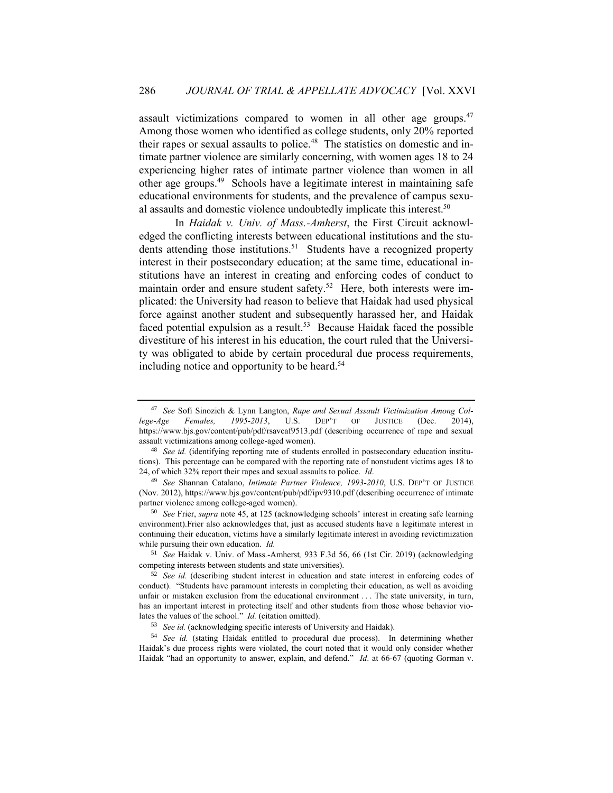assault victimizations compared to women in all other age groups.<sup>47</sup> Among those women who identified as college students, only 20% reported their rapes or sexual assaults to police.<sup>48</sup> The statistics on domestic and intimate partner violence are similarly concerning, with women ages 18 to 24 experiencing higher rates of intimate partner violence than women in all other age groups.<sup>49</sup> Schools have a legitimate interest in maintaining safe educational environments for students, and the prevalence of campus sexual assaults and domestic violence undoubtedly implicate this interest.<sup>50</sup>

In *Haidak v. Univ. of Mass.-Amherst*, the First Circuit acknowledged the conflicting interests between educational institutions and the students attending those institutions.<sup>51</sup> Students have a recognized property interest in their postsecondary education; at the same time, educational institutions have an interest in creating and enforcing codes of conduct to maintain order and ensure student safety.<sup>52</sup> Here, both interests were implicated: the University had reason to believe that Haidak had used physical force against another student and subsequently harassed her, and Haidak faced potential expulsion as a result.<sup>53</sup> Because Haidak faced the possible divestiture of his interest in his education, the court ruled that the University was obligated to abide by certain procedural due process requirements, including notice and opportunity to be heard.<sup>54</sup>

<sup>51</sup> *See* Haidak v. Univ. of Mass.-Amherst*,* 933 F.3d 56, 66 (1st Cir. 2019) (acknowledging competing interests between students and state universities).

<sup>47</sup> *See* Sofi Sinozich & Lynn Langton, *Rape and Sexual Assault Victimization Among College-Age Females, 1995-2013*, U.S. DEP'T OF JUSTICE (Dec. 2014), https://www.bjs.gov/content/pub/pdf/rsavcaf9513.pdf (describing occurrence of rape and sexual assault victimizations among college-aged women).

<sup>&</sup>lt;sup>48</sup> *See id.* (identifying reporting rate of students enrolled in postsecondary education institutions). This percentage can be compared with the reporting rate of nonstudent victims ages 18 to 24, of which 32% report their rapes and sexual assaults to police. *Id*.

<sup>49</sup> *See* Shannan Catalano, *Intimate Partner Violence, 1993-2010*, U.S. DEP'T OF JUSTICE (Nov. 2012), https://www.bjs.gov/content/pub/pdf/ipv9310.pdf (describing occurrence of intimate partner violence among college-aged women).

<sup>50</sup> *See* Frier, *supra* note 45, at 125 (acknowledging schools' interest in creating safe learning environment).Frier also acknowledges that, just as accused students have a legitimate interest in continuing their education, victims have a similarly legitimate interest in avoiding revictimization while pursuing their own education. *Id.*

<sup>52</sup> *See id.* (describing student interest in education and state interest in enforcing codes of conduct). "Students have paramount interests in completing their education, as well as avoiding unfair or mistaken exclusion from the educational environment . . . The state university, in turn, has an important interest in protecting itself and other students from those whose behavior violates the values of the school." *Id.* (citation omitted).

<sup>53</sup> *See id.* (acknowledging specific interests of University and Haidak).

<sup>54</sup> *See id.* (stating Haidak entitled to procedural due process). In determining whether Haidak's due process rights were violated, the court noted that it would only consider whether Haidak "had an opportunity to answer, explain, and defend." *Id*. at 66-67 (quoting Gorman v.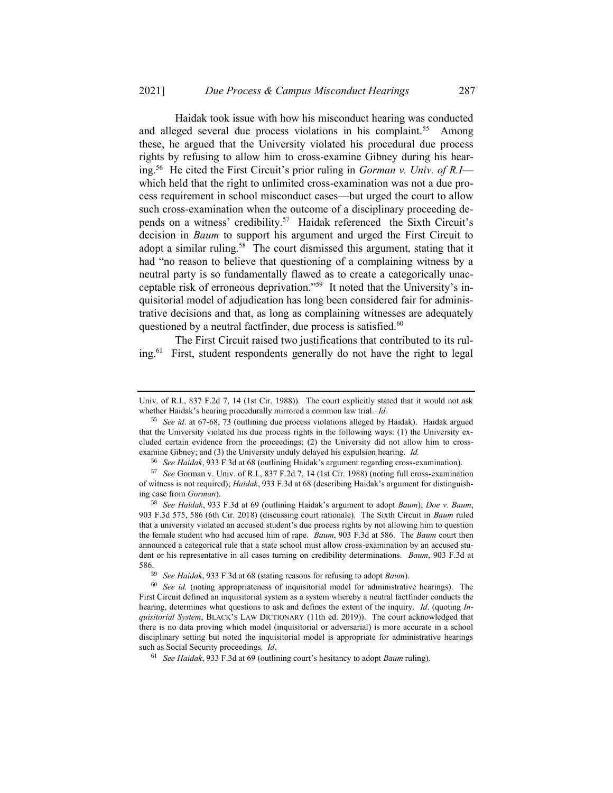Haidak took issue with how his misconduct hearing was conducted and alleged several due process violations in his complaint.<sup>55</sup> Among these, he argued that the University violated his procedural due process rights by refusing to allow him to cross-examine Gibney during his hearing.<sup>56</sup> He cited the First Circuit's prior ruling in *Gorman v. Univ. of R.I* which held that the right to unlimited cross-examination was not a due process requirement in school misconduct cases—but urged the court to allow such cross-examination when the outcome of a disciplinary proceeding depends on a witness' credibility.<sup>57</sup> Haidak referenced the Sixth Circuit's decision in *Baum* to support his argument and urged the First Circuit to adopt a similar ruling.<sup>58</sup> The court dismissed this argument, stating that it had "no reason to believe that questioning of a complaining witness by a neutral party is so fundamentally flawed as to create a categorically unacceptable risk of erroneous deprivation."<sup>59</sup> It noted that the University's inquisitorial model of adjudication has long been considered fair for administrative decisions and that, as long as complaining witnesses are adequately questioned by a neutral factfinder, due process is satisfied.<sup>60</sup>

The First Circuit raised two justifications that contributed to its ruling.<sup>61</sup> First, student respondents generally do not have the right to legal

Univ. of R.I., 837 F.2d 7, 14 (1st Cir. 1988)). The court explicitly stated that it would not ask whether Haidak's hearing procedurally mirrored a common law trial. *Id.*

<sup>55</sup> *See id*. at 67-68, 73 (outlining due process violations alleged by Haidak). Haidak argued that the University violated his due process rights in the following ways: (1) the University excluded certain evidence from the proceedings; (2) the University did not allow him to crossexamine Gibney; and (3) the University unduly delayed his expulsion hearing. *Id.*

<sup>56</sup> *See Haidak*, 933 F.3d at 68 (outlining Haidak's argument regarding cross-examination).

<sup>57</sup> *See* Gorman v. Univ. of R.I., 837 F.2d 7, 14 (1st Cir. 1988) (noting full cross-examination of witness is not required); *Haidak*, 933 F.3d at 68 (describing Haidak's argument for distinguishing case from *Gorman*).

<sup>58</sup> *See Haidak*, 933 F.3d at 69 (outlining Haidak's argument to adopt *Baum*); *Doe v. Baum*, 903 F.3d 575, 586 (6th Cir. 2018) (discussing court rationale). The Sixth Circuit in *Baum* ruled that a university violated an accused student's due process rights by not allowing him to question the female student who had accused him of rape. *Baum*, 903 F.3d at 586. The *Baum* court then announced a categorical rule that a state school must allow cross-examination by an accused student or his representative in all cases turning on credibility determinations. *Baum*, 903 F.3d at 586.

<sup>59</sup> *See Haidak*, 933 F.3d at 68 (stating reasons for refusing to adopt *Baum*).

<sup>60</sup> *See id.* (noting appropriateness of inquisitorial model for administrative hearings). The First Circuit defined an inquisitorial system as a system whereby a neutral factfinder conducts the hearing, determines what questions to ask and defines the extent of the inquiry. *Id*. (quoting *Inquisitorial System*, BLACK'S LAW DICTIONARY (11th ed. 2019)). The court acknowledged that there is no data proving which model (inquisitorial or adversarial) is more accurate in a school disciplinary setting but noted the inquisitorial model is appropriate for administrative hearings such as Social Security proceedings. *Id*.

<sup>61</sup> *See Haidak*, 933 F.3d at 69 (outlining court's hesitancy to adopt *Baum* ruling).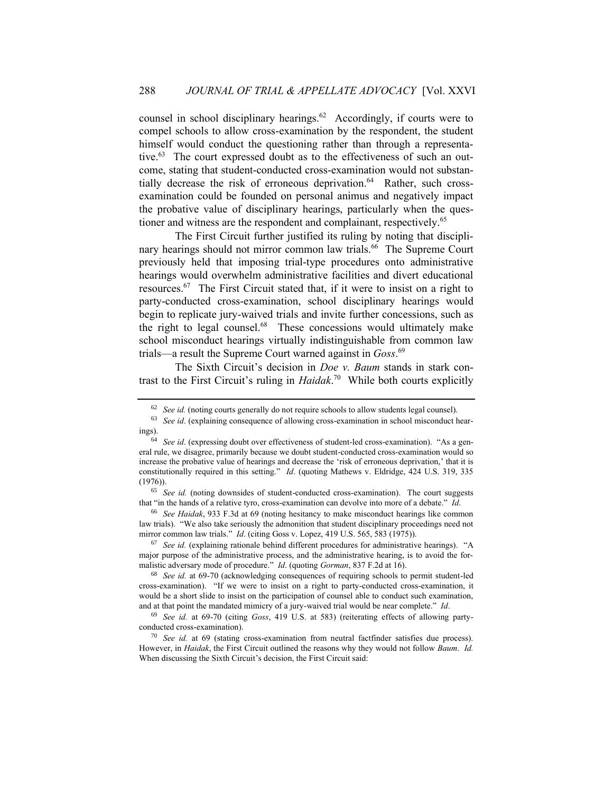counsel in school disciplinary hearings. $62$  Accordingly, if courts were to compel schools to allow cross-examination by the respondent, the student himself would conduct the questioning rather than through a representative.<sup>63</sup> The court expressed doubt as to the effectiveness of such an outcome, stating that student-conducted cross-examination would not substantially decrease the risk of erroneous deprivation.<sup>64</sup> Rather, such crossexamination could be founded on personal animus and negatively impact the probative value of disciplinary hearings, particularly when the questioner and witness are the respondent and complainant, respectively.<sup>65</sup>

The First Circuit further justified its ruling by noting that disciplinary hearings should not mirror common law trials.<sup>66</sup> The Supreme Court previously held that imposing trial-type procedures onto administrative hearings would overwhelm administrative facilities and divert educational resources.<sup>67</sup> The First Circuit stated that, if it were to insist on a right to party-conducted cross-examination, school disciplinary hearings would begin to replicate jury-waived trials and invite further concessions, such as the right to legal counsel.<sup>68</sup> These concessions would ultimately make school misconduct hearings virtually indistinguishable from common law trials—a result the Supreme Court warned against in *Goss*. 69

The Sixth Circuit's decision in *Doe v. Baum* stands in stark contrast to the First Circuit's ruling in *Haidak*. 70 While both courts explicitly

<sup>66</sup> *See Haidak*, 933 F.3d at 69 (noting hesitancy to make misconduct hearings like common law trials). "We also take seriously the admonition that student disciplinary proceedings need not mirror common law trials." *Id*. (citing Goss v. Lopez, 419 U.S. 565, 583 (1975)).

<sup>67</sup> *See id.* (explaining rationale behind different procedures for administrative hearings). "A major purpose of the administrative process, and the administrative hearing, is to avoid the formalistic adversary mode of procedure." *Id*. (quoting *Gorman*, 837 F.2d at 16).

<sup>68</sup> *See id.* at 69-70 (acknowledging consequences of requiring schools to permit student-led cross-examination). "If we were to insist on a right to party-conducted cross-examination, it would be a short slide to insist on the participation of counsel able to conduct such examination, and at that point the mandated mimicry of a jury-waived trial would be near complete." *Id*.

<sup>69</sup> *See id.* at 69-70 (citing *Goss*, 419 U.S. at 583) (reiterating effects of allowing partyconducted cross-examination).

<sup>70</sup> *See id.* at 69 (stating cross-examination from neutral factfinder satisfies due process). However, in *Haidak*, the First Circuit outlined the reasons why they would not follow *Baum*. *Id.* When discussing the Sixth Circuit's decision, the First Circuit said:

<sup>&</sup>lt;sup>62</sup> *See id.* (noting courts generally do not require schools to allow students legal counsel).

<sup>63</sup> *See id*. (explaining consequence of allowing cross-examination in school misconduct hearings).

<sup>64</sup> *See id*. (expressing doubt over effectiveness of student-led cross-examination). "As a general rule, we disagree, primarily because we doubt student-conducted cross-examination would so increase the probative value of hearings and decrease the 'risk of erroneous deprivation,' that it is constitutionally required in this setting." *Id*. (quoting Mathews v. Eldridge, 424 U.S. 319, 335 (1976)).

<sup>65</sup> *See id.* (noting downsides of student-conducted cross-examination). The court suggests that "in the hands of a relative tyro, cross-examination can devolve into more of a debate." *Id*.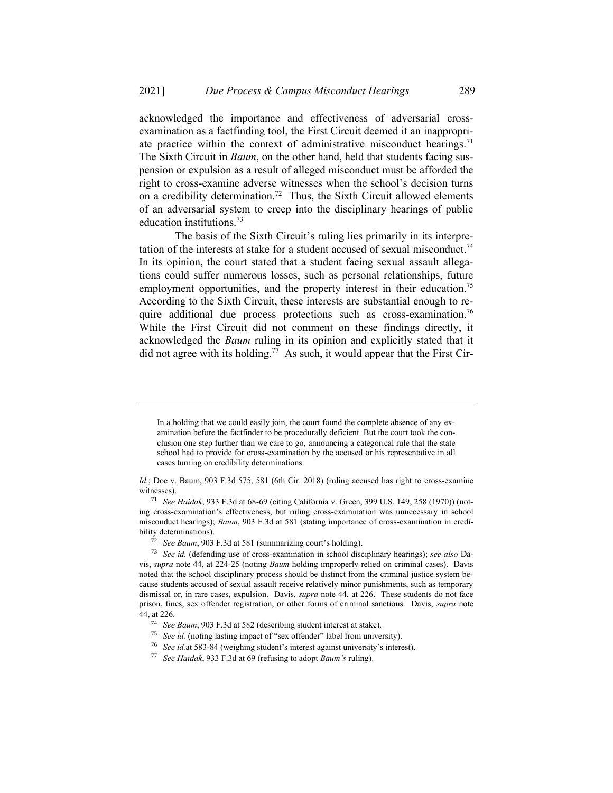acknowledged the importance and effectiveness of adversarial crossexamination as a factfinding tool, the First Circuit deemed it an inappropriate practice within the context of administrative misconduct hearings.<sup>71</sup> The Sixth Circuit in *Baum*, on the other hand, held that students facing suspension or expulsion as a result of alleged misconduct must be afforded the right to cross-examine adverse witnesses when the school's decision turns on a credibility determination.<sup>72</sup> Thus, the Sixth Circuit allowed elements of an adversarial system to creep into the disciplinary hearings of public education institutions.<sup>73</sup>

The basis of the Sixth Circuit's ruling lies primarily in its interpretation of the interests at stake for a student accused of sexual misconduct.<sup>74</sup> In its opinion, the court stated that a student facing sexual assault allegations could suffer numerous losses, such as personal relationships, future employment opportunities, and the property interest in their education.<sup>75</sup> According to the Sixth Circuit, these interests are substantial enough to require additional due process protections such as cross-examination.<sup>76</sup> While the First Circuit did not comment on these findings directly, it acknowledged the *Baum* ruling in its opinion and explicitly stated that it did not agree with its holding.<sup>77</sup> As such, it would appear that the First Cir-

In a holding that we could easily join, the court found the complete absence of any examination before the factfinder to be procedurally deficient. But the court took the conclusion one step further than we care to go, announcing a categorical rule that the state school had to provide for cross-examination by the accused or his representative in all cases turning on credibility determinations.

*Id.*; Doe v. Baum, 903 F.3d 575, 581 (6th Cir. 2018) (ruling accused has right to cross-examine witnesses).

<sup>71</sup> *See Haidak*, 933 F.3d at 68-69 (citing California v. Green, 399 U.S. 149, 258 (1970)) (noting cross-examination's effectiveness, but ruling cross-examination was unnecessary in school misconduct hearings); *Baum*, 903 F.3d at 581 (stating importance of cross-examination in credibility determinations).

<sup>72</sup> *See Baum*, 903 F.3d at 581 (summarizing court's holding).

<sup>73</sup> *See id.* (defending use of cross-examination in school disciplinary hearings); *see also* Davis, *supra* note 44, at 224-25 (noting *Baum* holding improperly relied on criminal cases). Davis noted that the school disciplinary process should be distinct from the criminal justice system because students accused of sexual assault receive relatively minor punishments, such as temporary dismissal or, in rare cases, expulsion. Davis, *supra* note 44, at 226. These students do not face prison, fines, sex offender registration, or other forms of criminal sanctions. Davis, *supra* note 44, at 226.

<sup>74</sup> *See Baum*, 903 F.3d at 582 (describing student interest at stake).

<sup>&</sup>lt;sup>75</sup> *See id.* (noting lasting impact of "sex offender" label from university).

<sup>76</sup> *See id.*at 583-84 (weighing student's interest against university's interest).

<sup>77</sup> *See Haidak*, 933 F.3d at 69 (refusing to adopt *Baum's* ruling).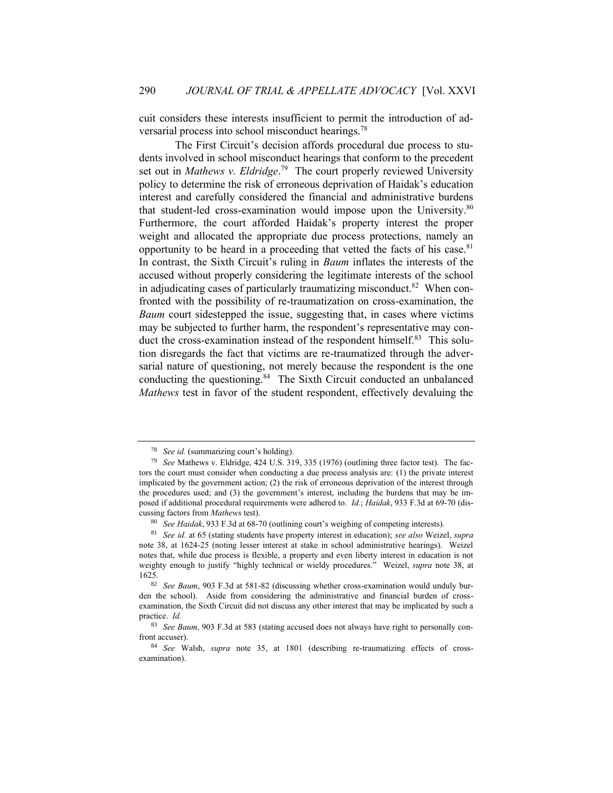cuit considers these interests insufficient to permit the introduction of adversarial process into school misconduct hearings.<sup>78</sup>

The First Circuit's decision affords procedural due process to students involved in school misconduct hearings that conform to the precedent set out in *Mathews v. Eldridge*.<sup>79</sup> The court properly reviewed University policy to determine the risk of erroneous deprivation of Haidak's education interest and carefully considered the financial and administrative burdens that student-led cross-examination would impose upon the University.<sup>80</sup> Furthermore, the court afforded Haidak's property interest the proper weight and allocated the appropriate due process protections, namely an opportunity to be heard in a proceeding that vetted the facts of his case.<sup>81</sup> In contrast, the Sixth Circuit's ruling in *Baum* inflates the interests of the accused without properly considering the legitimate interests of the school in adjudicating cases of particularly traumatizing misconduct.<sup>82</sup> When confronted with the possibility of re-traumatization on cross-examination, the *Baum* court sidestepped the issue, suggesting that, in cases where victims may be subjected to further harm, the respondent's representative may conduct the cross-examination instead of the respondent himself.<sup>83</sup> This solution disregards the fact that victims are re-traumatized through the adversarial nature of questioning, not merely because the respondent is the one conducting the questioning.<sup>84</sup> The Sixth Circuit conducted an unbalanced *Mathews* test in favor of the student respondent, effectively devaluing the

<sup>78</sup> *See id.* (summarizing court's holding).

<sup>79</sup> *See* Mathews v. Eldridge, 424 U.S. 319, 335 (1976) (outlining three factor test). The factors the court must consider when conducting a due process analysis are: (1) the private interest implicated by the government action; (2) the risk of erroneous deprivation of the interest through the procedures used; and (3) the government's interest, including the burdens that may be imposed if additional procedural requirements were adhered to. *Id.*; *Haidak*, 933 F.3d at 69-70 (discussing factors from *Mathews* test).

<sup>80</sup> *See Haidak*, 933 F.3d at 68-70 (outlining court's weighing of competing interests).

<sup>81</sup> *See id.* at 65 (stating students have property interest in education); *see also* Weizel, *supra*  note 38, at 1624-25 (noting lesser interest at stake in school administrative hearings). Weizel notes that, while due process is flexible, a property and even liberty interest in education is not weighty enough to justify "highly technical or wieldy procedures." Weizel, *supra* note 38, at 1625.

<sup>82</sup> *See Baum*, 903 F.3d at 581-82 (discussing whether cross-examination would unduly burden the school). Aside from considering the administrative and financial burden of crossexamination, the Sixth Circuit did not discuss any other interest that may be implicated by such a practice. *Id.* 

<sup>83</sup> *See Baum*, 903 F.3d at 583 (stating accused does not always have right to personally confront accuser).

<sup>84</sup> *See* Walsh, *supra* note 35, at 1801 (describing re-traumatizing effects of crossexamination).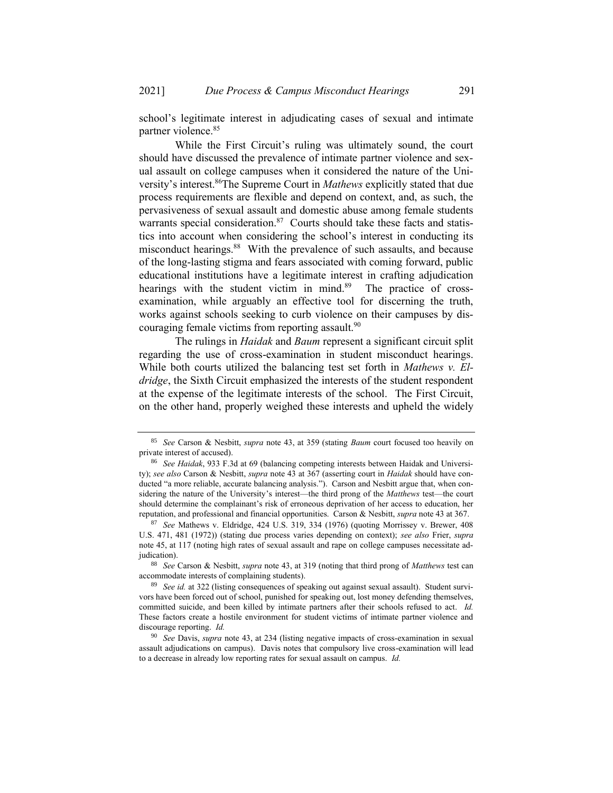school's legitimate interest in adjudicating cases of sexual and intimate partner violence.<sup>85</sup>

While the First Circuit's ruling was ultimately sound, the court should have discussed the prevalence of intimate partner violence and sexual assault on college campuses when it considered the nature of the University's interest.<sup>86</sup>The Supreme Court in *Mathews* explicitly stated that due process requirements are flexible and depend on context, and, as such, the pervasiveness of sexual assault and domestic abuse among female students warrants special consideration.<sup>87</sup> Courts should take these facts and statistics into account when considering the school's interest in conducting its misconduct hearings.<sup>88</sup> With the prevalence of such assaults, and because of the long-lasting stigma and fears associated with coming forward, public educational institutions have a legitimate interest in crafting adjudication hearings with the student victim in mind.<sup>89</sup> The practice of crossexamination, while arguably an effective tool for discerning the truth, works against schools seeking to curb violence on their campuses by discouraging female victims from reporting assault.<sup>90</sup>

The rulings in *Haidak* and *Baum* represent a significant circuit split regarding the use of cross-examination in student misconduct hearings. While both courts utilized the balancing test set forth in *Mathews v. Eldridge*, the Sixth Circuit emphasized the interests of the student respondent at the expense of the legitimate interests of the school. The First Circuit, on the other hand, properly weighed these interests and upheld the widely

<sup>85</sup> *See* Carson & Nesbitt, *supra* note 43, at 359 (stating *Baum* court focused too heavily on private interest of accused).

<sup>86</sup> *See Haidak*, 933 F.3d at 69 (balancing competing interests between Haidak and University); *see also* Carson & Nesbitt, *supra* note 43 at 367 (asserting court in *Haidak* should have conducted "a more reliable, accurate balancing analysis."). Carson and Nesbitt argue that, when considering the nature of the University's interest—the third prong of the *Matthews* test—the court should determine the complainant's risk of erroneous deprivation of her access to education, her reputation, and professional and financial opportunities. Carson & Nesbitt, *supra* note 43 at 367.

<sup>87</sup> *See* Mathews v. Eldridge, 424 U.S. 319, 334 (1976) (quoting Morrissey v. Brewer, 408 U.S. 471, 481 (1972)) (stating due process varies depending on context); *see also* Frier, *supra*  note 45, at 117 (noting high rates of sexual assault and rape on college campuses necessitate adjudication).

<sup>88</sup> *See* Carson & Nesbitt, *supra* note 43, at 319 (noting that third prong of *Matthews* test can accommodate interests of complaining students).

<sup>89</sup> *See id.* at 322 (listing consequences of speaking out against sexual assault). Student survivors have been forced out of school, punished for speaking out, lost money defending themselves, committed suicide, and been killed by intimate partners after their schools refused to act. *Id.* These factors create a hostile environment for student victims of intimate partner violence and discourage reporting. *Id.* 

<sup>90</sup> *See* Davis, *supra* note 43, at 234 (listing negative impacts of cross-examination in sexual assault adjudications on campus). Davis notes that compulsory live cross-examination will lead to a decrease in already low reporting rates for sexual assault on campus. *Id.*